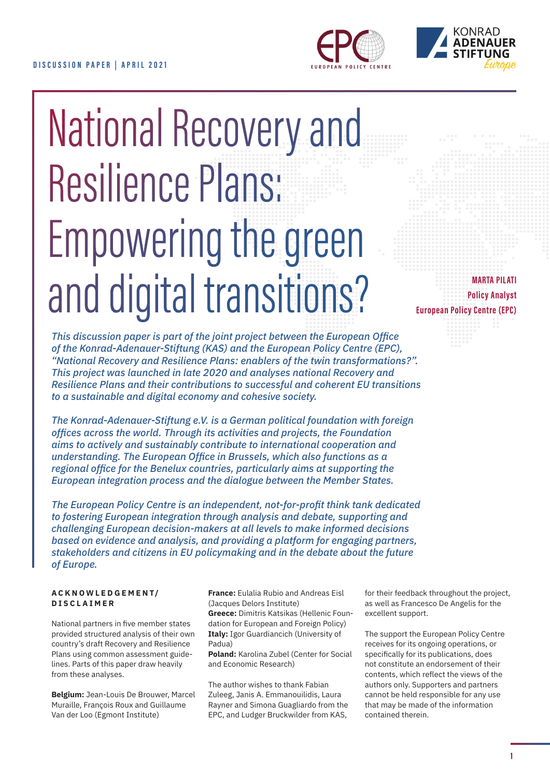



# National Recovery and Resilience Plans: Empowering the green and digital transitions?

**MARTA PILATI Policy Analyst European Policy Centre (EPC)**

*This discussion paper is part of the joint project between the European Office of the Konrad-Adenauer-Stiftung (KAS) and the European Policy Centre (EPC), "National Recovery and Resilience Plans: enablers of the twin transformations?". This project was launched in late 2020 and analyses national Recovery and Resilience Plans and their contributions to successful and coherent EU transitions to a sustainable and digital economy and cohesive society.*

*The Konrad-Adenauer-Stiftung e.V. is a German political foundation with foreign offi ces across the world. Through its activities and projects, the Foundation aims to actively and sustainably contribute to international cooperation and understanding. The European Office in Brussels, which also functions as a regional office for the Benelux countries, particularly aims at supporting the European integration process and the dialogue between the Member States.* 

*The European Policy Centre is an independent, not-for-profi t think tank dedicated to fostering European integration through analysis and debate, supporting and challenging European decision-makers at all levels to make informed decisions based on evidence and analysis, and providing a platform for engaging partners, stakeholders and citizens in EU policymaking and in the debate about the future of Europe.*

#### **ACKNOWLEDGEMENT/ DISCLAIMER**

National partners in five member states provided structured analysis of their own country's draft Recovery and Resilience Plans using common assessment guidelines. Parts of this paper draw heavily from these analyses.

**Belgium:** Jean-Louis De Brouwer, Marcel Muraille, François Roux and Guillaume Van der Loo (Egmont Institute)

**France:** Eulalia Rubio and Andreas Eisl (Jacques Delors Institute) **Greece:** Dimitris Katsikas (Hellenic Foundation for European and Foreign Policy) **Italy:** Igor Guardiancich (University of Padua)

**Poland:** Karolina Zubel (Center for Social and Economic Research)

The author wishes to thank Fabian Zuleeg, Janis A. Emmanouilidis, Laura Rayner and Simona Guagliardo from the EPC, and Ludger Bruckwilder from KAS,

for their feedback throughout the project, as well as Francesco De Angelis for the excellent support.

The support the European Policy Centre receives for its ongoing operations, or specifically for its publications, does not constitute an endorsement of their contents, which reflect the views of the authors only. Supporters and partners cannot be held responsible for any use that may be made of the information contained therein.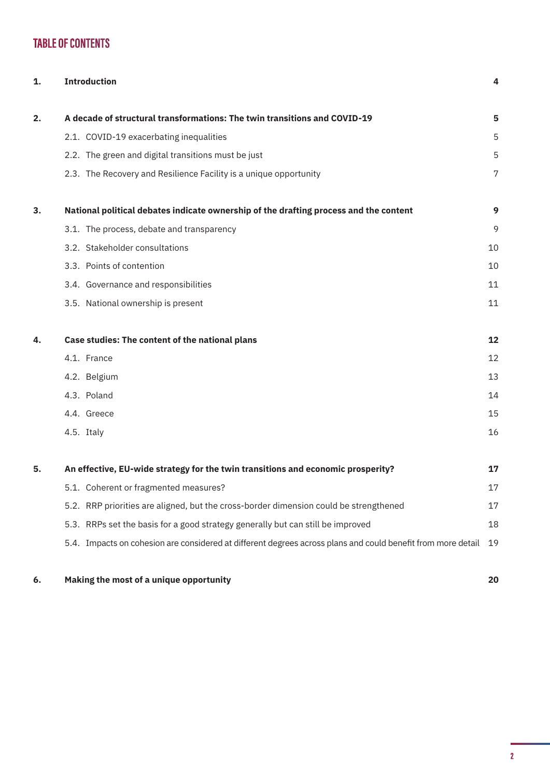# **TABLE OF CONTENTS**

| 1. | <b>Introduction</b>                                                                                          | 4  |
|----|--------------------------------------------------------------------------------------------------------------|----|
| 2. | A decade of structural transformations: The twin transitions and COVID-19                                    | 5  |
|    | 2.1. COVID-19 exacerbating inequalities                                                                      | 5  |
|    | 2.2. The green and digital transitions must be just                                                          | 5  |
|    | 2.3. The Recovery and Resilience Facility is a unique opportunity                                            | 7  |
| 3. | National political debates indicate ownership of the drafting process and the content                        | 9  |
|    | 3.1. The process, debate and transparency                                                                    | 9  |
|    | 3.2. Stakeholder consultations                                                                               | 10 |
|    | 3.3. Points of contention                                                                                    | 10 |
|    | 3.4. Governance and responsibilities                                                                         | 11 |
|    | 3.5. National ownership is present                                                                           | 11 |
| 4. | Case studies: The content of the national plans                                                              | 12 |
|    | 4.1. France                                                                                                  | 12 |
|    | 4.2. Belgium                                                                                                 | 13 |
|    | 4.3. Poland                                                                                                  | 14 |
|    | 4.4. Greece                                                                                                  | 15 |
|    | 4.5. Italy                                                                                                   | 16 |
| 5. | An effective, EU-wide strategy for the twin transitions and economic prosperity?                             | 17 |
|    | 5.1. Coherent or fragmented measures?                                                                        | 17 |
|    | 5.2. RRP priorities are aligned, but the cross-border dimension could be strengthened                        | 17 |
|    | 5.3. RRPs set the basis for a good strategy generally but can still be improved                              | 18 |
|    | 5.4. Impacts on cohesion are considered at different degrees across plans and could benefit from more detail | 19 |

# **6. [Making the most of a unique opportunity](#page-19-0) 20**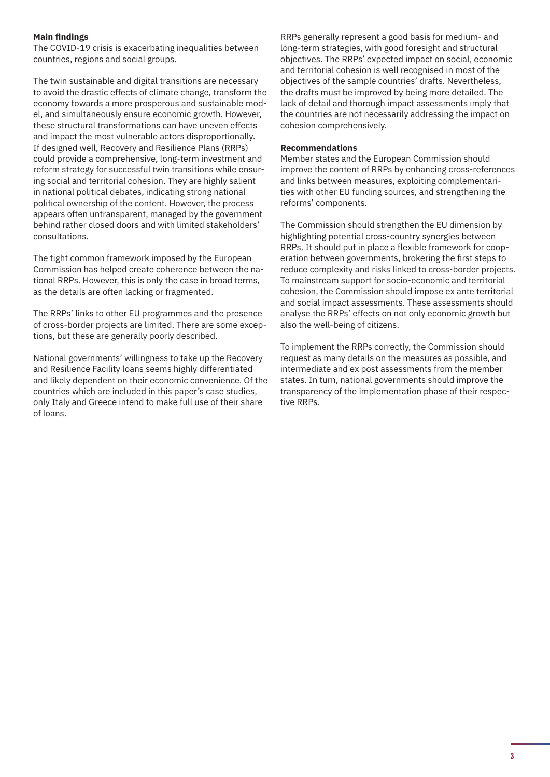#### **Main findings**

The COVID-19 crisis is exacerbating inequalities between countries, regions and social groups.

The twin sustainable and digital transitions are necessary to avoid the drastic effects of climate change, transform the economy towards a more prosperous and sustainable model, and simultaneously ensure economic growth. However, these structural transformations can have uneven effects and impact the most vulnerable actors disproportionally. If designed well, Recovery and Resilience Plans (RRPs) could provide a comprehensive, long-term investment and reform strategy for successful twin transitions while ensuring social and territorial cohesion. They are highly salient in national political debates, indicating strong national political ownership of the content. However, the process appears often untransparent, managed by the government behind rather closed doors and with limited stakeholders' consultations.

The tight common framework imposed by the European Commission has helped create coherence between the national RRPs. However, this is only the case in broad terms, as the details are often lacking or fragmented.

The RRPs' links to other EU programmes and the presence of cross-border projects are limited. There are some exceptions, but these are generally poorly described.

National governments' willingness to take up the Recovery and Resilience Facility loans seems highly differentiated and likely dependent on their economic convenience. Of the countries which are included in this paper's case studies, only Italy and Greece intend to make full use of their share of loans.

RRPs generally represent a good basis for medium- and long-term strategies, with good foresight and structural objectives. The RRPs' expected impact on social, economic and territorial cohesion is well recognised in most of the objectives of the sample countries' drafts. Nevertheless, the drafts must be improved by being more detailed. The lack of detail and thorough impact assessments imply that the countries are not necessarily addressing the impact on cohesion comprehensively.

#### **Recommendations**

Member states and the European Commission should improve the content of RRPs by enhancing cross-references and links between measures, exploiting complementarities with other EU funding sources, and strengthening the reforms' components.

The Commission should strengthen the EU dimension by highlighting potential cross-country synergies between RRPs. It should put in place a flexible framework for cooperation between governments, brokering the first steps to reduce complexity and risks linked to cross-border projects. To mainstream support for socio-economic and territorial cohesion, the Commission should impose ex ante territorial and social impact assessments. These assessments should analyse the RRPs' effects on not only economic growth but also the well-being of citizens.

To implement the RRPs correctly, the Commission should request as many details on the measures as possible, and intermediate and ex post assessments from the member states. In turn, national governments should improve the transparency of the implementation phase of their respective RRPs.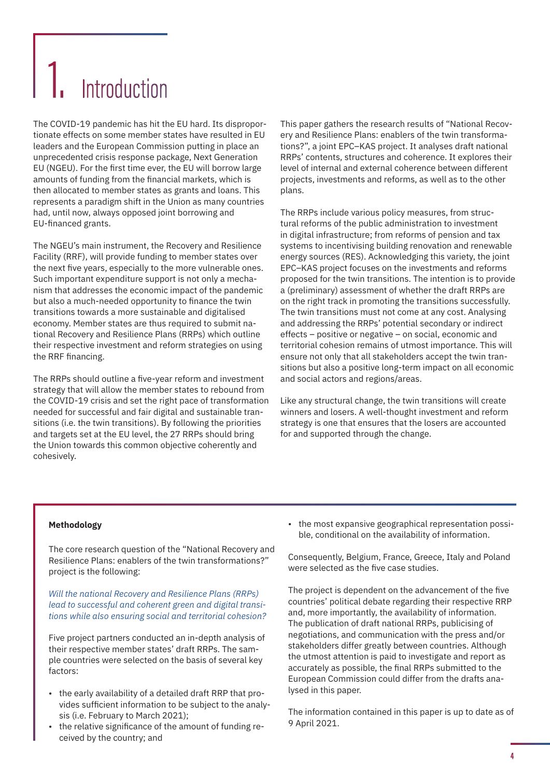# <span id="page-3-0"></span>**Introduction**

The COVID-19 pandemic has hit the EU hard. Its disproportionate effects on some member states have resulted in EU leaders and the European Commission putting in place an unprecedented crisis response package, Next Generation EU (NGEU). For the first time ever, the EU will borrow large amounts of funding from the financial markets, which is then allocated to member states as grants and loans. This represents a paradigm shift in the Union as many countries had, until now, always opposed joint borrowing and EU-financed grants.

The NGEU's main instrument, the Recovery and Resilience Facility (RRF), will provide funding to member states over the next five years, especially to the more vulnerable ones. Such important expenditure support is not only a mechanism that addresses the economic impact of the pandemic but also a much-needed opportunity to finance the twin transitions towards a more sustainable and digitalised economy. Member states are thus required to submit national Recovery and Resilience Plans (RRPs) which outline their respective investment and reform strategies on using the RRF financing.

The RRPs should outline a five-year reform and investment strategy that will allow the member states to rebound from the COVID-19 crisis and set the right pace of transformation needed for successful and fair digital and sustainable transitions (i.e. the twin transitions). By following the priorities and targets set at the EU level, the 27 RRPs should bring the Union towards this common objective coherently and cohesively.

This paper gathers the research results of "National Recovery and Resilience Plans: enablers of the twin transformations?", a joint EPC–KAS project. It analyses draft national RRPs' contents, structures and coherence. It explores their level of internal and external coherence between different projects, investments and reforms, as well as to the other plans.

The RRPs include various policy measures, from structural reforms of the public administration to investment in digital infrastructure; from reforms of pension and tax systems to incentivising building renovation and renewable energy sources (RES). Acknowledging this variety, the joint EPC–KAS project focuses on the investments and reforms proposed for the twin transitions. The intention is to provide a (preliminary) assessment of whether the draft RRPs are on the right track in promoting the transitions successfully. The twin transitions must not come at any cost. Analysing and addressing the RRPs' potential secondary or indirect effects – positive or negative – on social, economic and territorial cohesion remains of utmost importance. This will ensure not only that all stakeholders accept the twin transitions but also a positive long-term impact on all economic and social actors and regions/areas.

Like any structural change, the twin transitions will create winners and losers. A well-thought investment and reform strategy is one that ensures that the losers are accounted for and supported through the change.

#### **Methodology**

The core research question of the "National Recovery and Resilience Plans: enablers of the twin transformations?" project is the following:

*Will the national Recovery and Resilience Plans (RRPs) lead to successful and coherent green and digital transitions while also ensuring social and territorial cohesion?*

Five project partners conducted an in-depth analysis of their respective member states' draft RRPs. The sample countries were selected on the basis of several key factors:

- the early availability of a detailed draft RRP that provides sufficient information to be subject to the analysis (i.e. February to March 2021);
- the relative significance of the amount of funding received by the country; and

• the most expansive geographical representation possible, conditional on the availability of information.

Consequently, Belgium, France, Greece, Italy and Poland were selected as the five case studies.

The project is dependent on the advancement of the five countries' political debate regarding their respective RRP and, more importantly, the availability of information. The publication of draft national RRPs, publicising of negotiations, and communication with the press and/or stakeholders differ greatly between countries. Although the utmost attention is paid to investigate and report as accurately as possible, the final RRPs submitted to the European Commission could differ from the drafts analysed in this paper.

The information contained in this paper is up to date as of 9 April 2021.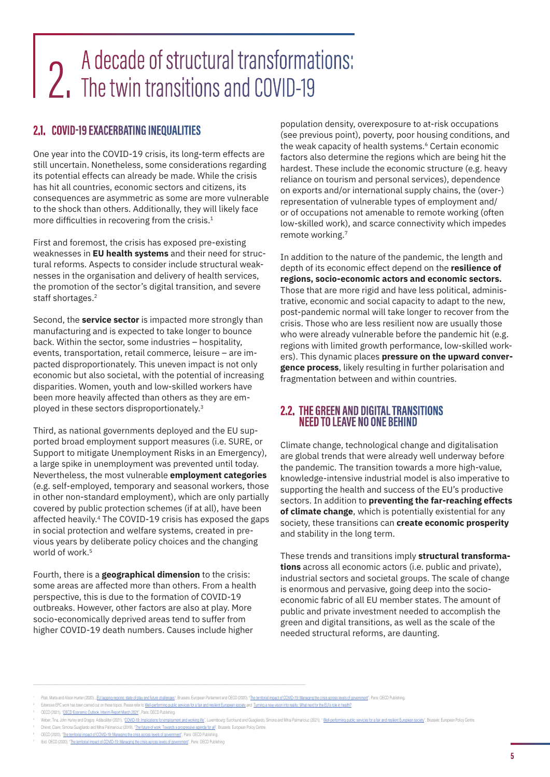# <span id="page-4-0"></span>2. A decade of structural transformations:<br>2. The twin transitions and COVID-19

# **2.1. COVID-19 EXACERBATING INEQUALITIES**

One year into the COVID-19 crisis, its long-term effects are still uncertain. Nonetheless, some considerations regarding its potential effects can already be made. While the crisis has hit all countries, economic sectors and citizens, its consequences are asymmetric as some are more vulnerable to the shock than others. Additionally, they will likely face more difficulties in recovering from the crisis.<sup>1</sup>

First and foremost, the crisis has exposed pre-existing weaknesses in **EU health systems** and their need for structural reforms. Aspects to consider include structural weaknesses in the organisation and delivery of health services, the promotion of the sector's digital transition, and severe staff shortages.<sup>2</sup>

Second, the **service sector** is impacted more strongly than manufacturing and is expected to take longer to bounce back. Within the sector, some industries – hospitality, events, transportation, retail commerce, leisure – are impacted disproportionately. This uneven impact is not only economic but also societal, with the potential of increasing disparities. Women, youth and low-skilled workers have been more heavily affected than others as they are employed in these sectors disproportionately.<sup>3</sup>

Third, as national governments deployed and the EU supported broad employment support measures (i.e. SURE, or Support to mitigate Unemployment Risks in an Emergency), a large spike in unemployment was prevented until today. Nevertheless, the most vulnerable **employment categories** (e.g. self-employed, temporary and seasonal workers, those in other non-standard employment), which are only partially covered by public protection schemes (if at all), have been affected heavily.4 The COVID-19 crisis has exposed the gaps in social protection and welfare systems, created in previous years by deliberate policy choices and the changing world of work<sup>5</sup>

Fourth, there is a **geographical dimension** to the crisis: some areas are affected more than others. From a health perspective, this is due to the formation of COVID-19 outbreaks. However, other factors are also at play. More socio-economically deprived areas tend to suffer from higher COVID-19 death numbers. Causes include higher

population density, overexposure to at-risk occupations (see previous point), poverty, poor housing conditions, and the weak capacity of health systems.<sup>6</sup> Certain economic factors also determine the regions which are being hit the hardest. These include the economic structure (e.g. heavy reliance on tourism and personal services), dependence on exports and/or international supply chains, the (over-) representation of vulnerable types of employment and/ or of occupations not amenable to remote working (often low-skilled work), and scarce connectivity which impedes remote working.7

In addition to the nature of the pandemic, the length and depth of its economic effect depend on the **resilience of regions, socio-economic actors and economic sectors.**  Those that are more rigid and have less political, administrative, economic and social capacity to adapt to the new, post-pandemic normal will take longer to recover from the crisis. Those who are less resilient now are usually those who were already vulnerable before the pandemic hit (e.g. regions with limited growth performance, low-skilled workers). This dynamic places **pressure on the upward convergence process**, likely resulting in further polarisation and fragmentation between and within countries.

# **2.2. THE GREEN AND DIGITAL TRANSITIONS NEED TO LEAVE NO ONE BEHIND**

Climate change, technological change and digitalisation are global trends that were already well underway before the pandemic. The transition towards a more high-value, knowledge-intensive industrial model is also imperative to supporting the health and success of the EU's productive sectors. In addition to **preventing the far-reaching effects of climate change**, which is potentially existential for any society, these transitions can **create economic prosperity** and stability in the long term.

These trends and transitions imply **structural transformations** across all economic actors (i.e. public and private), industrial sectors and societal groups. The scale of change is enormous and pervasive, going deep into the socioeconomic fabric of all EU member states. The amount of public and private investment needed to accomplish the green and digital transitions, as well as the scale of the needed structural reforms, are daunting.

Dhéret, Claire, Simona Guagliardo and Mihai Palimariciuc (2019), "[The future of work: Towards a progressive agenda for all"](https://www.epc.eu/en/publications/The-future-of-work-Towards-a-progressive-agenda-for-all~2d8840), Brussels: European Policy Centre

Pliati, Marta and Alison Hunter (2020), "[EU lagging regions: state of play and future challenges"](https://www.europarl.europa.eu/thinktank/en/document.html?reference=IPOL_STU(2020)652215), Brussels: European Parliament and OECD (2020), "The territorial impact of COVID-19: Managing the crisis across levels of go

Extensive EPC work has been carried out on these topics. Please refer to [Well-performing public services for a fair and resilient European society](https://epc.eu/en/Publications/Well-performing-public-services-for-a-fair-and-resilient-European-soci~3b518c) and Turning a new vision into reality. What next for the EU's role in healt

<sup>3</sup> OECD (2021), ["OECD Economic Outlook, Interim Report March 2021"](https://www.oecd-ilibrary.org/economics/oecd-economic-outlook/volume-2020/issue-2_34bfd999-en;jsessionid=3hjwD4iSLydglqNsv7n6WyXg.ip-10-240-5-43), Paris: OECD Publishing.

Weber, Tina, John Hurley and Dragos Adiscalitei (2021), "[COVID-19: Implications for employment and working life"](https://www.eurofound.europa.eu/publications/report/2021/covid-19-implications-for-employment-and-working-life), Luxembourg: Eurofound and Guagliardo, Simona and Mihai Palimariciuc (2021), "Well-performing public services

OECD (2020), ["The territorial impact of COVID-19: Managing the crisis across levels of government"](http://www.oecd.org/coronavirus/policy-responses/the-territorial-impact-of-covid-19-managing-the-crisis-across-levels-of-government-d3e314e1/), Paris: OECD Publish

<sup>7</sup> Ibid. OECD (2020), ["The territorial impact of COVID-19: Managing the crisis across levels of government"](http://www.oecd.org/coronavirus/policy-responses/the-territorial-impact-of-covid-19-managing-the-crisis-across-levels-of-government-d3e314e1/), Paris: OECD Publishing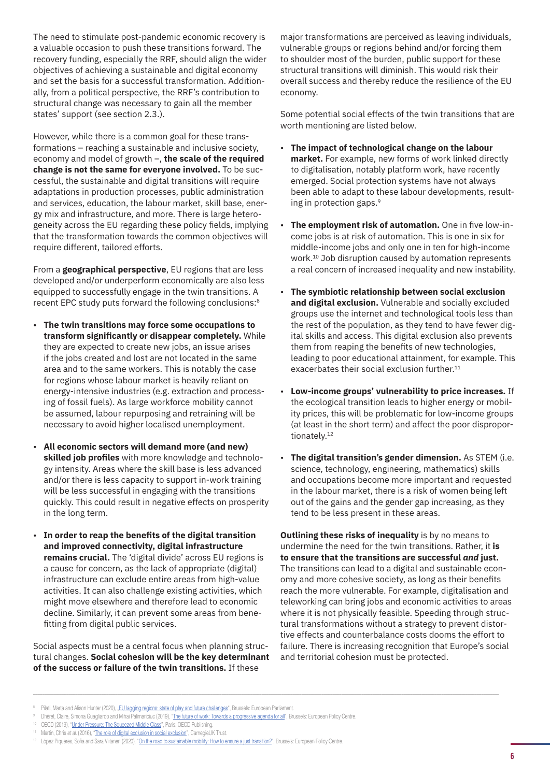The need to stimulate post-pandemic economic recovery is a valuable occasion to push these transitions forward. The recovery funding, especially the RRF, should align the wider objectives of achieving a sustainable and digital economy and set the basis for a successful transformation. Additionally, from a political perspective, the RRF's contribution to structural change was necessary to gain all the member states' support (see section 2.3.).

However, while there is a common goal for these transformations – reaching a sustainable and inclusive society, economy and model of growth –, **the scale of the required change is not the same for everyone involved.** To be successful, the sustainable and digital transitions will require adaptations in production processes, public administration and services, education, the labour market, skill base, energy mix and infrastructure, and more. There is large heterogeneity across the EU regarding these policy fields, implying that the transformation towards the common objectives will require different, tailored efforts.

From a **geographical perspective**, EU regions that are less developed and/or underperform economically are also less equipped to successfully engage in the twin transitions. A recent EPC study puts forward the following conclusions:8

- **The twin transitions may force some occupations to transform significantly or disappear completely.** While they are expected to create new jobs, an issue arises if the jobs created and lost are not located in the same area and to the same workers. This is notably the case for regions whose labour market is heavily reliant on energy-intensive industries (e.g. extraction and processing of fossil fuels). As large workforce mobility cannot be assumed, labour repurposing and retraining will be necessary to avoid higher localised unemployment.
- **All economic sectors will demand more (and new) skilled job profiles** with more knowledge and technology intensity. Areas where the skill base is less advanced and/or there is less capacity to support in-work training will be less successful in engaging with the transitions quickly. This could result in negative effects on prosperity in the long term.
- **In order to reap the benefits of the digital transition and improved connectivity, digital infrastructure remains crucial.** The 'digital divide' across EU regions is a cause for concern, as the lack of appropriate (digital) infrastructure can exclude entire areas from high-value activities. It can also challenge existing activities, which might move elsewhere and therefore lead to economic decline. Similarly, it can prevent some areas from benefitting from digital public services.

Social aspects must be a central focus when planning structural changes. **Social cohesion will be the key determinant of the success or failure of the twin transitions.** If these

major transformations are perceived as leaving individuals, vulnerable groups or regions behind and/or forcing them to shoulder most of the burden, public support for these structural transitions will diminish. This would risk their overall success and thereby reduce the resilience of the EU economy.

Some potential social effects of the twin transitions that are worth mentioning are listed below.

- **The impact of technological change on the labour market.** For example, new forms of work linked directly to digitalisation, notably platform work, have recently emerged. Social protection systems have not always been able to adapt to these labour developments, resulting in protection gaps.9
- **The employment risk of automation.** One in five low-income jobs is at risk of automation. This is one in six for middle-income jobs and only one in ten for high-income work.10 Job disruption caused by automation represents a real concern of increased inequality and new instability.
- **The symbiotic relationship between social exclusion and digital exclusion.** Vulnerable and socially excluded groups use the internet and technological tools less than the rest of the population, as they tend to have fewer digital skills and access. This digital exclusion also prevents them from reaping the benefits of new technologies, leading to poor educational attainment, for example. This exacerbates their social exclusion further.<sup>11</sup>
- **Low-income groups' vulnerability to price increases.** If the ecological transition leads to higher energy or mobility prices, this will be problematic for low-income groups (at least in the short term) and affect the poor disproportionately.12
- **The digital transition's gender dimension.** As STEM (i.e. science, technology, engineering, mathematics) skills and occupations become more important and requested in the labour market, there is a risk of women being left out of the gains and the gender gap increasing, as they tend to be less present in these areas.

**Outlining these risks of inequality** is by no means to undermine the need for the twin transitions. Rather, it **is to ensure that the transitions are successful** *and* **just.** The transitions can lead to a digital and sustainable economy and more cohesive society, as long as their benefits reach the more vulnerable. For example, digitalisation and teleworking can bring jobs and economic activities to areas where it is not physically feasible. Speeding through structural transformations without a strategy to prevent distortive effects and counterbalance costs dooms the effort to failure. There is increasing recognition that Europe's social and territorial cohesion must be protected.

- <sup>10</sup> OECD (2019), "[Under Pressure: The Squeezed Middle Class"](https://read.oecd-ilibrary.org/social-issues-migration-health/under-pressure-the-squeezed-middle-class_689afed1-en#page4), Paris: OECD Publishing.
- <sup>11</sup> Martin, Chris *et al.* (2016), "[The role of digital exclusion in social exclusion"](https://www.carnegieuktrust.org.uk/publications/role-digital-exclusion-social-exclusion-2/), CarnegieUK Trust.

<sup>8</sup> Pilati, Marta and Alison Hunter (2020), *L[EU lagging regions: state of play and future challenges"](https://www.europarl.europa.eu/thinktank/en/document.html?reference=IPOL_STU(2020)652215)*, Brussels: European Parliament

<sup>9</sup> Dhéret, Claire, Simona Guagliardo and Mihai Palimariciuc (2019), ["The future of work: Towards a progressive agenda for all](https://www.epc.eu/en/publications/The-future-of-work-Towards-a-progressive-agenda-for-all~2d8840)", Brussels: European Policy Centre.

<sup>&</sup>lt;sup>12</sup> López Piqueres, Sofia and Sara Viitanen (2020), "[On the road to sustainable mobility: How to ensure a just transition?](https://www.epc.eu/en/publications/On-the-road-to-sustainable-mobility-How-to-ensure-a-just-transition~3a3270)", Brussels: European Policy Centre.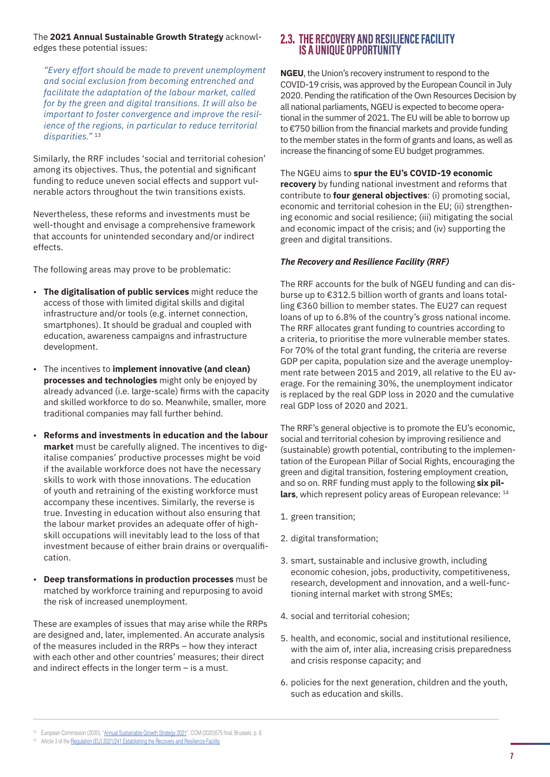<span id="page-6-0"></span>The **2021 Annual Sustainable Growth Strategy** acknowledges these potential issues:

*"Every effort should be made to prevent unemployment and social exclusion from becoming entrenched and facilitate the adaptation of the labour market, called for by the green and digital transitions. It will also be important to foster convergence and improve the resilience of the regions, in particular to reduce territorial disparities."* <sup>13</sup>

Similarly, the RRF includes 'social and territorial cohesion' among its objectives. Thus, the potential and significant funding to reduce uneven social effects and support vulnerable actors throughout the twin transitions exists.

Nevertheless, these reforms and investments must be well-thought and envisage a comprehensive framework that accounts for unintended secondary and/or indirect effects.

The following areas may prove to be problematic:

- **The digitalisation of public services** might reduce the access of those with limited digital skills and digital infrastructure and/or tools (e.g. internet connection, smartphones). It should be gradual and coupled with education, awareness campaigns and infrastructure development.
- The incentives to **implement innovative (and clean) processes and technologies** might only be enjoyed by already advanced (i.e. large-scale) firms with the capacity and skilled workforce to do so. Meanwhile, smaller, more traditional companies may fall further behind.
- **Reforms and investments in education and the labour market** must be carefully aligned. The incentives to digitalise companies' productive processes might be void if the available workforce does not have the necessary skills to work with those innovations. The education of youth and retraining of the existing workforce must accompany these incentives. Similarly, the reverse is true. Investing in education without also ensuring that the labour market provides an adequate offer of highskill occupations will inevitably lead to the loss of that investment because of either brain drains or overqualification.
- **Deep transformations in production processes** must be matched by workforce training and repurposing to avoid the risk of increased unemployment.

These are examples of issues that may arise while the RRPs are designed and, later, implemented. An accurate analysis of the measures included in the RRPs – how they interact with each other and other countries' measures; their direct and indirect effects in the longer term – is a must.

# **2.3. THE RECOVERY AND RESILIENCE FACILITY IS A UNIQUE OPPORTUNITY**

**NGEU**, the Union's recovery instrument to respond to the COVID-19 crisis, was approved by the European Council in July 2020. Pending the ratification of the Own Resources Decision by all national parliaments, NGEU is expected to become operational in the summer of 2021. The EU will be able to borrow up to €750 billion from the financial markets and provide funding to the member states in the form of grants and loans, as well as increase the financing of some EU budget programmes.

The NGEU aims to **spur the EU's COVID-19 economic recovery** by funding national investment and reforms that contribute to **four general objectives**: (i) promoting social, economic and territorial cohesion in the EU; (ii) strengthening economic and social resilience; (iii) mitigating the social and economic impact of the crisis; and (iv) supporting the green and digital transitions.

#### *The Recovery and Resilience Facility (RRF)*

The RRF accounts for the bulk of NGEU funding and can disburse up to €312.5 billion worth of grants and loans totalling €360 billion to member states. The EU27 can request loans of up to 6.8% of the country's gross national income. The RRF allocates grant funding to countries according to a criteria, to prioritise the more vulnerable member states. For 70% of the total grant funding, the criteria are reverse GDP per capita, population size and the average unemployment rate between 2015 and 2019, all relative to the EU average. For the remaining 30%, the unemployment indicator is replaced by the real GDP loss in 2020 and the cumulative real GDP loss of 2020 and 2021.

The RRF's general objective is to promote the EU's economic, social and territorial cohesion by improving resilience and (sustainable) growth potential, contributing to the implementation of the European Pillar of Social Rights, encouraging the green and digital transition, fostering employment creation, and so on. RRF funding must apply to the following **six pil**lars, which represent policy areas of European relevance: <sup>14</sup>

- 1. green transition;
- 2. digital transformation;
- 3. smart, sustainable and inclusive growth, including economic cohesion, jobs, productivity, competitiveness, research, development and innovation, and a well-functioning internal market with strong SMEs;
- 4. social and territorial cohesion;
- 5. health, and economic, social and institutional resilience, with the aim of, inter alia, increasing crisis preparedness and crisis response capacity; and
- 6. policies for the next generation, children and the youth, such as education and skills.

<sup>&</sup>lt;sup>13</sup> European Commission (2020), "[Annual Sustainable Growth Strategy 2021](https://eur-lex.europa.eu/legal-content/EN/TXT/?uri=COM:2020:0575:FIN)", COM (2020)575 final, Brussels; p. 8.

<sup>&</sup>lt;sup>14</sup> Article 3 of the [Regulation \(EU\) 2021/241 Establishing the Recovery and Resilience Facility](https://eur-lex.europa.eu/legal-content/EN/TXT/?uri=CELEX%3A32021R0241)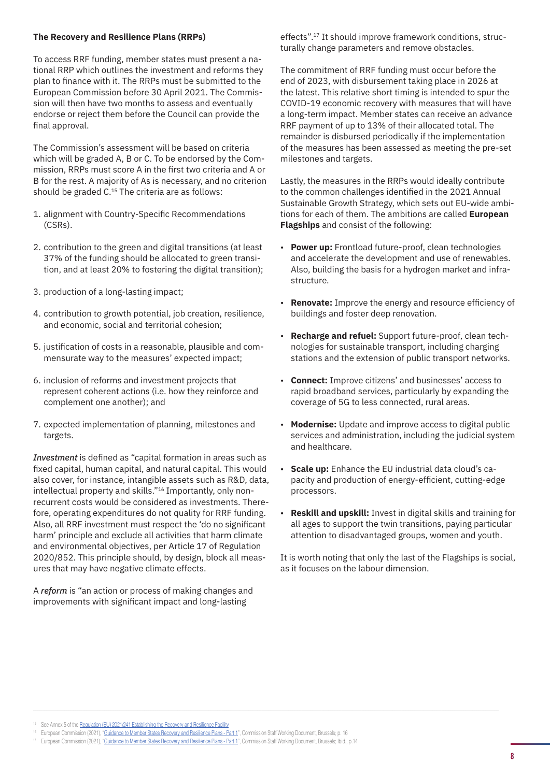#### **The Recovery and Resilience Plans (RRPs)**

To access RRF funding, member states must present a national RRP which outlines the investment and reforms they plan to finance with it. The RRPs must be submitted to the European Commission before 30 April 2021. The Commission will then have two months to assess and eventually endorse or reject them before the Council can provide the final approval.

The Commission's assessment will be based on criteria which will be graded A, B or C. To be endorsed by the Commission, RRPs must score A in the first two criteria and A or B for the rest. A majority of As is necessary, and no criterion should be graded C.<sup>15</sup> The criteria are as follows:

- 1. alignment with Country-Specific Recommendations (CSRs).
- 2. contribution to the green and digital transitions (at least 37% of the funding should be allocated to green transition, and at least 20% to fostering the digital transition);
- 3. production of a long-lasting impact;
- 4. contribution to growth potential, job creation, resilience, and economic, social and territorial cohesion;
- 5. justification of costs in a reasonable, plausible and commensurate way to the measures' expected impact;
- 6. inclusion of reforms and investment projects that represent coherent actions (i.e. how they reinforce and complement one another); and
- 7. expected implementation of planning, milestones and targets.

*Investment* is defined as "capital formation in areas such as fixed capital, human capital, and natural capital. This would also cover, for instance, intangible assets such as R&D, data, intellectual property and skills."16 Importantly, only nonrecurrent costs would be considered as investments. Therefore, operating expenditures do not quality for RRF funding. Also, all RRF investment must respect the 'do no significant harm' principle and exclude all activities that harm climate and environmental objectives, per Article 17 of Regulation 2020/852. This principle should, by design, block all measures that may have negative climate effects.

A *reform* is "an action or process of making changes and improvements with significant impact and long-lasting

effects".17 It should improve framework conditions, structurally change parameters and remove obstacles.

The commitment of RRF funding must occur before the end of 2023, with disbursement taking place in 2026 at the latest. This relative short timing is intended to spur the COVID-19 economic recovery with measures that will have a long-term impact. Member states can receive an advance RRF payment of up to 13% of their allocated total. The remainder is disbursed periodically if the implementation of the measures has been assessed as meeting the pre-set milestones and targets.

Lastly, the measures in the RRPs would ideally contribute to the common challenges identified in the 2021 Annual Sustainable Growth Strategy, which sets out EU-wide ambitions for each of them. The ambitions are called **European Flagships** and consist of the following:

- **Power up:** Frontload future-proof, clean technologies and accelerate the development and use of renewables. Also, building the basis for a hydrogen market and infrastructure.
- **Renovate:** Improve the energy and resource efficiency of buildings and foster deep renovation.
- **Recharge and refuel:** Support future-proof, clean technologies for sustainable transport, including charging stations and the extension of public transport networks.
- **Connect:** Improve citizens' and businesses' access to rapid broadband services, particularly by expanding the coverage of 5G to less connected, rural areas.
- **Modernise:** Update and improve access to digital public services and administration, including the judicial system and healthcare.
- **Scale up:** Enhance the EU industrial data cloud's capacity and production of energy-efficient, cutting-edge processors.
- **Reskill and upskill:** Invest in digital skills and training for all ages to support the twin transitions, paying particular attention to disadvantaged groups, women and youth.

It is worth noting that only the last of the Flagships is social, as it focuses on the labour dimension.

- <sup>16</sup> European Commission (2021), "[Guidance to Member States Recovery and Resilience Plans Part 1](https://ec.europa.eu/info/files/guidance-member-states-recovery-and-resilience-plans_en)", Commission Staff Working Document, Brussels; p. 16
- <sup>17</sup> European Commission (2021), "[Guidance to Member States Recovery and Resilience Plans Part 1](https://ec.europa.eu/info/files/guidance-member-states-recovery-and-resilience-plans_en)", Commission Staff Working Document, Brussels; Ibid., p.14

<sup>&</sup>lt;sup>15</sup> See Annex 5 of the [Regulation \(EU\) 2021/241 Establishing the Recovery and Resilience Facility](https://eur-lex.europa.eu/legal-content/EN/TXT/?uri=CELEX%3A32021R0241)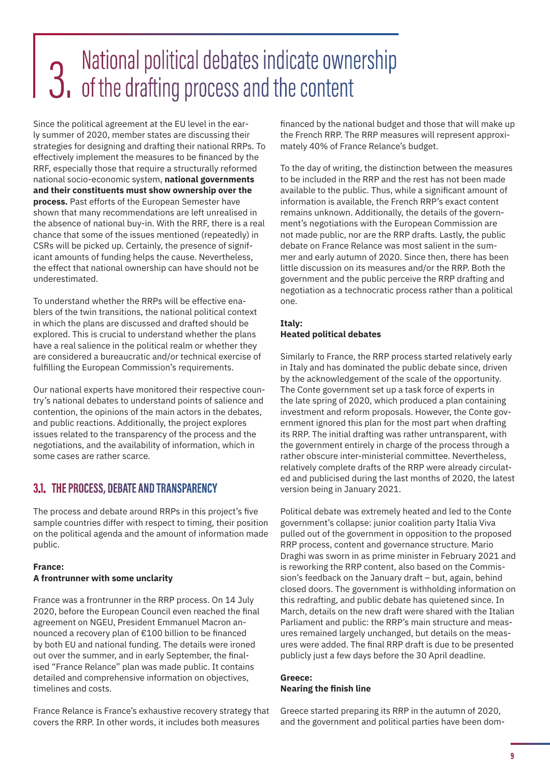# <span id="page-8-0"></span>**12.** National political debates indicate ownership<br>**3.** of the drafting process and the content

Since the political agreement at the EU level in the early summer of 2020, member states are discussing their strategies for designing and drafting their national RRPs. To effectively implement the measures to be financed by the RRF, especially those that require a structurally reformed national socio-economic system, **national governments and their constituents must show ownership over the process.** Past efforts of the European Semester have shown that many recommendations are left unrealised in the absence of national buy-in. With the RRF, there is a real chance that some of the issues mentioned (repeatedly) in CSRs will be picked up. Certainly, the presence of significant amounts of funding helps the cause. Nevertheless, the effect that national ownership can have should not be underestimated.

To understand whether the RRPs will be effective enablers of the twin transitions, the national political context in which the plans are discussed and drafted should be explored. This is crucial to understand whether the plans have a real salience in the political realm or whether they are considered a bureaucratic and/or technical exercise of fulfilling the European Commission's requirements.

Our national experts have monitored their respective country's national debates to understand points of salience and contention, the opinions of the main actors in the debates, and public reactions. Additionally, the project explores issues related to the transparency of the process and the negotiations, and the availability of information, which in some cases are rather scarce.

# **3.1. THE PROCESS, DEBATE AND TRANSPARENCY**

The process and debate around RRPs in this project's five sample countries differ with respect to timing, their position on the political agenda and the amount of information made public.

#### **France: A frontrunner with some unclarity**

timelines and costs.

France was a frontrunner in the RRP process. On 14 July 2020, before the European Council even reached the final agreement on NGEU, President Emmanuel Macron announced a recovery plan of €100 billion to be financed by both EU and national funding. The details were ironed out over the summer, and in early September, the finalised "France Relance" plan was made public. It contains

detailed and comprehensive information on objectives,

France Relance is France's exhaustive recovery strategy that covers the RRP. In other words, it includes both measures

financed by the national budget and those that will make up the French RRP. The RRP measures will represent approximately 40% of France Relance's budget.

To the day of writing, the distinction between the measures to be included in the RRP and the rest has not been made available to the public. Thus, while a significant amount of information is available, the French RRP's exact content remains unknown. Additionally, the details of the government's negotiations with the European Commission are not made public, nor are the RRP drafts. Lastly, the public debate on France Relance was most salient in the summer and early autumn of 2020. Since then, there has been little discussion on its measures and/or the RRP. Both the government and the public perceive the RRP drafting and negotiation as a technocratic process rather than a political one.

#### **Italy: Heated political debates**

Similarly to France, the RRP process started relatively early in Italy and has dominated the public debate since, driven by the acknowledgement of the scale of the opportunity. The Conte government set up a task force of experts in the late spring of 2020, which produced a plan containing investment and reform proposals. However, the Conte government ignored this plan for the most part when drafting its RRP. The initial drafting was rather untransparent, with the government entirely in charge of the process through a rather obscure inter-ministerial committee. Nevertheless, relatively complete drafts of the RRP were already circulated and publicised during the last months of 2020, the latest version being in January 2021.

Political debate was extremely heated and led to the Conte government's collapse: junior coalition party Italia Viva pulled out of the government in opposition to the proposed RRP process, content and governance structure. Mario Draghi was sworn in as prime minister in February 2021 and is reworking the RRP content, also based on the Commission's feedback on the January draft – but, again, behind closed doors. The government is withholding information on this redrafting, and public debate has quietened since. In March, details on the new draft were shared with the Italian Parliament and public: the RRP's main structure and measures remained largely unchanged, but details on the measures were added. The final RRP draft is due to be presented publicly just a few days before the 30 April deadline.

#### **Greece: Nearing the finish line**

Greece started preparing its RRP in the autumn of 2020, and the government and political parties have been dom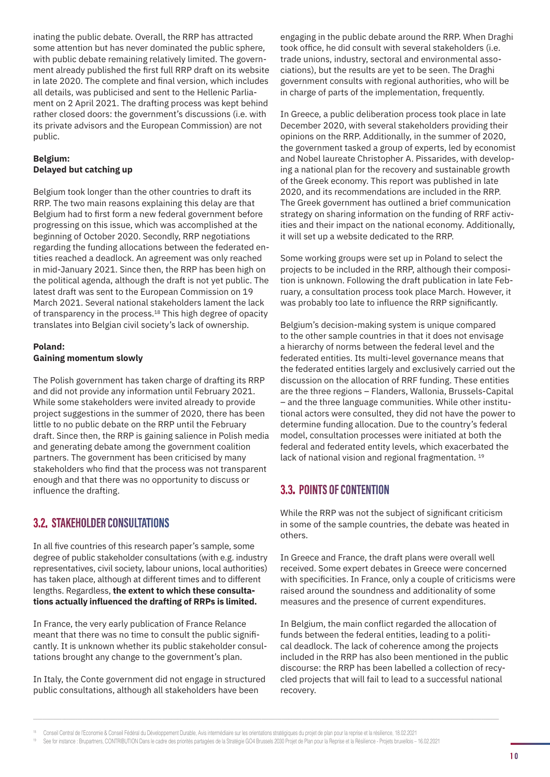<span id="page-9-0"></span>inating the public debate. Overall, the RRP has attracted some attention but has never dominated the public sphere, with public debate remaining relatively limited. The government already published the first full RRP draft on its website in late 2020. The complete and final version, which includes all details, was publicised and sent to the Hellenic Parliament on 2 April 2021. The drafting process was kept behind rather closed doors: the government's discussions (i.e. with its private advisors and the European Commission) are not public.

#### **Belgium: Delayed but catching up**

Belgium took longer than the other countries to draft its RRP. The two main reasons explaining this delay are that Belgium had to first form a new federal government before progressing on this issue, which was accomplished at the beginning of October 2020. Secondly, RRP negotiations regarding the funding allocations between the federated entities reached a deadlock. An agreement was only reached in mid-January 2021. Since then, the RRP has been high on the political agenda, although the draft is not yet public. The latest draft was sent to the European Commission on 19 March 2021. Several national stakeholders lament the lack of transparency in the process.<sup>18</sup> This high degree of opacity translates into Belgian civil society's lack of ownership.

### **Poland: Gaining momentum slowly**

The Polish government has taken charge of drafting its RRP and did not provide any information until February 2021. While some stakeholders were invited already to provide project suggestions in the summer of 2020, there has been little to no public debate on the RRP until the February draft. Since then, the RRP is gaining salience in Polish media and generating debate among the government coalition partners. The government has been criticised by many stakeholders who find that the process was not transparent enough and that there was no opportunity to discuss or influence the drafting.

# **3.2. STAKEHOLDER CONSULTATIONS**

In all five countries of this research paper's sample, some degree of public stakeholder consultations (with e.g. industry representatives, civil society, labour unions, local authorities) has taken place, although at different times and to different lengths. Regardless, **the extent to which these consultations actually influenced the drafting of RRPs is limited.**

In France, the very early publication of France Relance meant that there was no time to consult the public significantly. It is unknown whether its public stakeholder consultations brought any change to the government's plan.

In Italy, the Conte government did not engage in structured public consultations, although all stakeholders have been

engaging in the public debate around the RRP. When Draghi took office, he did consult with several stakeholders (i.e. trade unions, industry, sectoral and environmental associations), but the results are yet to be seen. The Draghi government consults with regional authorities, who will be in charge of parts of the implementation, frequently.

In Greece, a public deliberation process took place in late December 2020, with several stakeholders providing their opinions on the RRP. Additionally, in the summer of 2020, the government tasked a group of experts, led by economist and Nobel laureate Christopher A. Pissarides, with developing a national plan for the recovery and sustainable growth of the Greek economy. This report was published in late 2020, and its recommendations are included in the RRP. The Greek government has outlined a brief communication strategy on sharing information on the funding of RRF activities and their impact on the national economy. Additionally, it will set up a website dedicated to the RRP.

Some working groups were set up in Poland to select the projects to be included in the RRP, although their composition is unknown. Following the draft publication in late February, a consultation process took place March. However, it was probably too late to influence the RRP significantly.

Belgium's decision-making system is unique compared to the other sample countries in that it does not envisage a hierarchy of norms between the federal level and the federated entities. Its multi-level governance means that the federated entities largely and exclusively carried out the discussion on the allocation of RRF funding. These entities are the three regions – Flanders, Wallonia, Brussels-Capital – and the three language communities. While other institutional actors were consulted, they did not have the power to determine funding allocation. Due to the country's federal model, consultation processes were initiated at both the federal and federated entity levels, which exacerbated the lack of national vision and regional fragmentation.<sup>19</sup>

# **3.3. POINTS OF CONTENTION**

While the RRP was not the subject of significant criticism in some of the sample countries, the debate was heated in others.

In Greece and France, the draft plans were overall well received. Some expert debates in Greece were concerned with specificities. In France, only a couple of criticisms were raised around the soundness and additionality of some measures and the presence of current expenditures.

In Belgium, the main conflict regarded the allocation of funds between the federal entities, leading to a political deadlock. The lack of coherence among the projects included in the RRP has also been mentioned in the public discourse: the RRP has been labelled a collection of recycled projects that will fail to lead to a successful national recovery.

Conseil Central de l'Economie & Conseil Fédéral du Développement Durable, Avis intermédiaire sur les orientations stratégiques du projet de plan pour la reprise et la résilience, 18.02.2021<br>See for instance : Brupartners,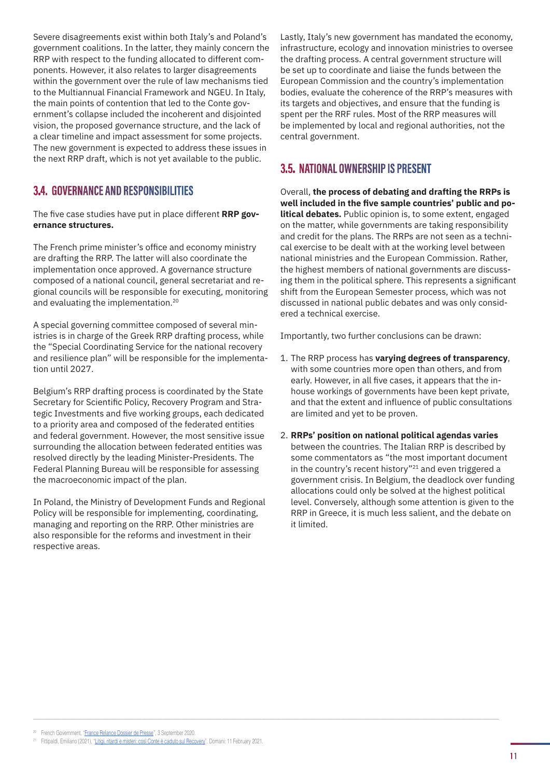<span id="page-10-0"></span>Severe disagreements exist within both Italy's and Poland's government coalitions. In the latter, they mainly concern the RRP with respect to the funding allocated to different components. However, it also relates to larger disagreements within the government over the rule of law mechanisms tied to the Multiannual Financial Framework and NGEU. In Italy, the main points of contention that led to the Conte government's collapse included the incoherent and disjointed vision, the proposed governance structure, and the lack of a clear timeline and impact assessment for some projects. The new government is expected to address these issues in the next RRP draft, which is not yet available to the public.

# **3.4. GOVERNANCE AND RESPONSIBILITIES**

The five case studies have put in place different **RRP governance structures.** 

The French prime minister's office and economy ministry are drafting the RRP. The latter will also coordinate the implementation once approved. A governance structure composed of a national council, general secretariat and regional councils will be responsible for executing, monitoring and evaluating the implementation.20

A special governing committee composed of several ministries is in charge of the Greek RRP drafting process, while the "Special Coordinating Service for the national recovery and resilience plan" will be responsible for the implementation until 2027.

Belgium's RRP drafting process is coordinated by the State Secretary for Scientific Policy, Recovery Program and Strategic Investments and five working groups, each dedicated to a priority area and composed of the federated entities and federal government. However, the most sensitive issue surrounding the allocation between federated entities was resolved directly by the leading Minister-Presidents. The Federal Planning Bureau will be responsible for assessing the macroeconomic impact of the plan.

In Poland, the Ministry of Development Funds and Regional Policy will be responsible for implementing, coordinating, managing and reporting on the RRP. Other ministries are also responsible for the reforms and investment in their respective areas.

Lastly, Italy's new government has mandated the economy, infrastructure, ecology and innovation ministries to oversee the drafting process. A central government structure will be set up to coordinate and liaise the funds between the European Commission and the country's implementation bodies, evaluate the coherence of the RRP's measures with its targets and objectives, and ensure that the funding is spent per the RRF rules. Most of the RRP measures will be implemented by local and regional authorities, not the central government.

# **3.5. NATIONAL OWNERSHIP IS PRESENT**

Overall, **the process of debating and drafting the RRPs is well included in the five sample countries' public and political debates.** Public opinion is, to some extent, engaged on the matter, while governments are taking responsibility and credit for the plans. The RRPs are not seen as a technical exercise to be dealt with at the working level between national ministries and the European Commission. Rather, the highest members of national governments are discussing them in the political sphere. This represents a significant shift from the European Semester process, which was not discussed in national public debates and was only considered a technical exercise.

Importantly, two further conclusions can be drawn:

- 1. The RRP process has **varying degrees of transparency**, with some countries more open than others, and from early. However, in all five cases, it appears that the inhouse workings of governments have been kept private, and that the extent and influence of public consultations are limited and yet to be proven.
- 2. **RRPs' position on national political agendas varies** between the countries. The Italian RRP is described by some commentators as "the most important document in the country's recent history"21 and even triggered a government crisis. In Belgium, the deadlock over funding allocations could only be solved at the highest political level. Conversely, although some attention is given to the RRP in Greece, it is much less salient, and the debate on it limited.

<sup>20</sup> French Government, "[France Relance Dossier de Presse](https://www.economie.gouv.fr/files/files/directions_services/plan-de-relance/dossier-presse-plan-relance.pdf)", 3 September 2020.

<sup>&</sup>lt;sup>21</sup> Fittipaldi, Emiliano (2021), "[Litigi, ritardi e misteri: così Conte è caduto sul Recovery](https://www.editorialedomani.it/politica/italia/litigi-ritardi-e-misteri-cosi-conte-e-caduto-sul-recovery-hr3gdoo2)", Domani: 11 February 2021.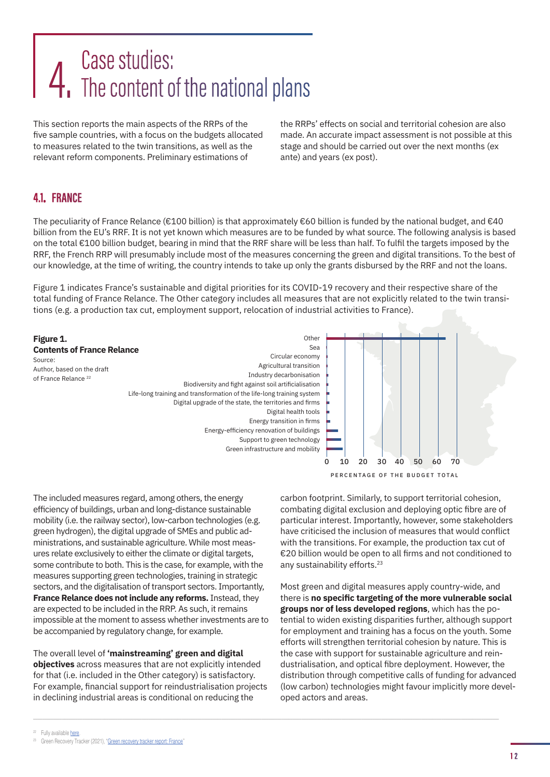# <span id="page-11-0"></span>Case studies:<br>The content of the national plans

This section reports the main aspects of the RRPs of the five sample countries, with a focus on the budgets allocated to measures related to the twin transitions, as well as the relevant reform components. Preliminary estimations of

the RRPs' effects on social and territorial cohesion are also made. An accurate impact assessment is not possible at this stage and should be carried out over the next months (ex ante) and years (ex post).

# **4.1. FRANCE**

The peculiarity of France Relance (€100 billion) is that approximately €60 billion is funded by the national budget, and €40 billion from the EU's RRF. It is not yet known which measures are to be funded by what source. The following analysis is based on the total €100 billion budget, bearing in mind that the RRF share will be less than half. To fulfil the targets imposed by the RRF, the French RRP will presumably include most of the measures concerning the green and digital transitions. To the best of our knowledge, at the time of writing, the country intends to take up only the grants disbursed by the RRF and not the loans.

Figure 1 indicates France's sustainable and digital priorities for its COVID-19 recovery and their respective share of the total funding of France Relance. The Other category includes all measures that are not explicitly related to the twin transitions (e.g. a production tax cut, employment support, relocation of industrial activities to France).



The included measures regard, among others, the energy efficiency of buildings, urban and long-distance sustainable mobility (i.e. the railway sector), low-carbon technologies (e.g. green hydrogen), the digital upgrade of SMEs and public administrations, and sustainable agriculture. While most measures relate exclusively to either the climate or digital targets, some contribute to both. This is the case, for example, with the measures supporting green technologies, training in strategic sectors, and the digitalisation of transport sectors. Importantly, **France Relance does not include any reforms.** Instead, they are expected to be included in the RRP. As such, it remains impossible at the moment to assess whether investments are to be accompanied by regulatory change, for example.

The overall level of **'mainstreaming' green and digital objectives** across measures that are not explicitly intended for that (i.e. included in the Other category) is satisfactory. For example, financial support for reindustrialisation projects in declining industrial areas is conditional on reducing the

carbon footprint. Similarly, to support territorial cohesion, combating digital exclusion and deploying optic fibre are of particular interest. Importantly, however, some stakeholders have criticised the inclusion of measures that would conflict with the transitions. For example, the production tax cut of €20 billion would be open to all firms and not conditioned to any sustainability efforts.<sup>23</sup>

Most green and digital measures apply country-wide, and there is **no specific targeting of the more vulnerable social groups nor of less developed regions**, which has the potential to widen existing disparities further, although support for employment and training has a focus on the youth. Some efforts will strengthen territorial cohesion by nature. This is the case with support for sustainable agriculture and reindustrialisation, and optical fibre deployment. However, the distribution through competitive calls of funding for advanced (low carbon) technologies might favour implicitly more developed actors and areas.

<sup>&</sup>lt;sup>22</sup> Fully available **here**.

<sup>&</sup>lt;sup>23</sup> Green Recovery Tracker (2021), "[Green recovery tracker report: France"](https://assets.website-files.com/602e4a891047f739eaf5dfad/603fb53f4b508bfe509fd7f9_France_Green_Recovery_Tracker_Report.pdf)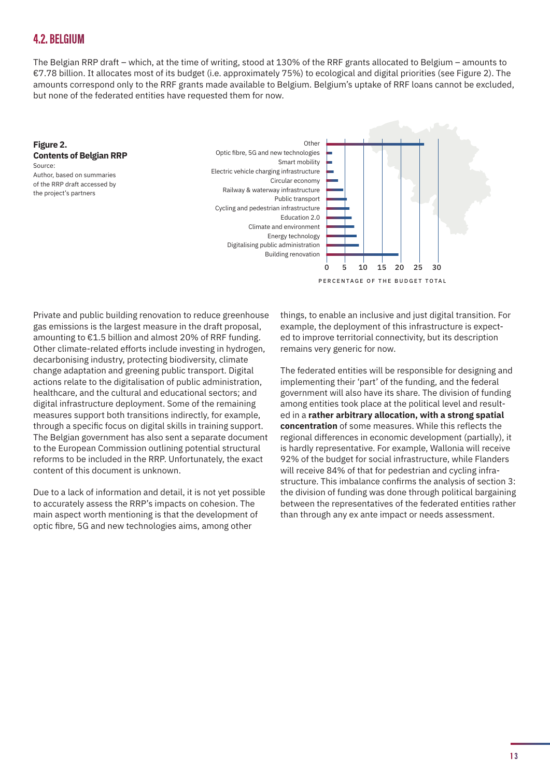# <span id="page-12-0"></span>**4.2. BELGIUM**

The Belgian RRP draft – which, at the time of writing, stood at 130% of the RRF grants allocated to Belgium – amounts to €7.78 billion. It allocates most of its budget (i.e. approximately 75%) to ecological and digital priorities (see Figure 2). The amounts correspond only to the RRF grants made available to Belgium. Belgium's uptake of RRF loans cannot be excluded, but none of the federated entities have requested them for now.

#### **Figure 2. Contents of Belgian RRP** Source: Author, based on summaries of the RRP draft accessed by

the project's partners



PERCENTAGE OF THE BUDGET TOTAL

Private and public building renovation to reduce greenhouse gas emissions is the largest measure in the draft proposal, amounting to €1.5 billion and almost 20% of RRF funding. Other climate-related efforts include investing in hydrogen, decarbonising industry, protecting biodiversity, climate change adaptation and greening public transport. Digital actions relate to the digitalisation of public administration, healthcare, and the cultural and educational sectors; and digital infrastructure deployment. Some of the remaining measures support both transitions indirectly, for example, through a specific focus on digital skills in training support. The Belgian government has also sent a separate document to the European Commission outlining potential structural reforms to be included in the RRP. Unfortunately, the exact content of this document is unknown.

Due to a lack of information and detail, it is not yet possible to accurately assess the RRP's impacts on cohesion. The main aspect worth mentioning is that the development of optic fibre, 5G and new technologies aims, among other

things, to enable an inclusive and just digital transition. For example, the deployment of this infrastructure is expected to improve territorial connectivity, but its description remains very generic for now.

The federated entities will be responsible for designing and implementing their 'part' of the funding, and the federal government will also have its share. The division of funding among entities took place at the political level and resulted in a **rather arbitrary allocation, with a strong spatial concentration** of some measures. While this reflects the regional differences in economic development (partially), it is hardly representative. For example, Wallonia will receive 92% of the budget for social infrastructure, while Flanders will receive 84% of that for pedestrian and cycling infrastructure. This imbalance confirms the analysis of section 3: the division of funding was done through political bargaining between the representatives of the federated entities rather than through any ex ante impact or needs assessment.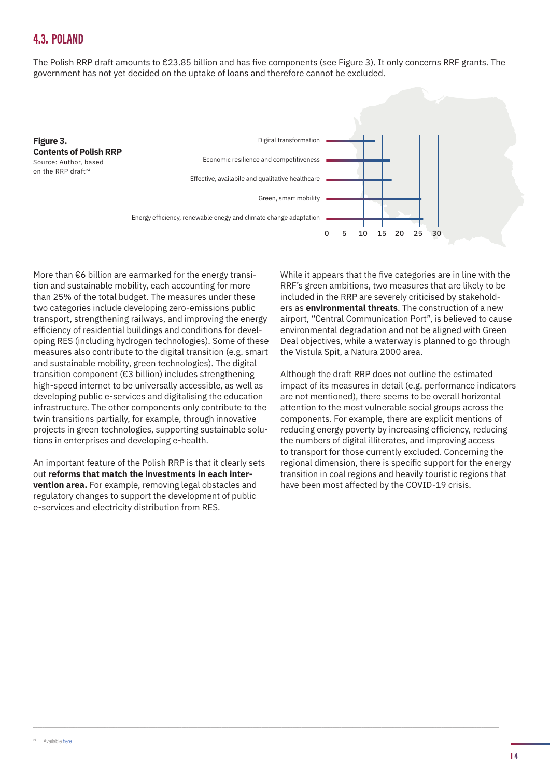# <span id="page-13-0"></span>**4.3. POLAND**

The Polish RRP draft amounts to €23.85 billion and has five components (see Figure 3). It only concerns RRF grants. The government has not yet decided on the uptake of loans and therefore cannot be excluded.



More than €6 billion are earmarked for the energy transition and sustainable mobility, each accounting for more than 25% of the total budget. The measures under these two categories include developing zero-emissions public transport, strengthening railways, and improving the energy efficiency of residential buildings and conditions for developing RES (including hydrogen technologies). Some of these measures also contribute to the digital transition (e.g. smart and sustainable mobility, green technologies). The digital transition component (€3 billion) includes strengthening high-speed internet to be universally accessible, as well as developing public e-services and digitalising the education infrastructure. The other components only contribute to the twin transitions partially, for example, through innovative projects in green technologies, supporting sustainable solutions in enterprises and developing e-health.

An important feature of the Polish RRP is that it clearly sets out **reforms that match the investments in each intervention area.** For example, removing legal obstacles and regulatory changes to support the development of public e-services and electricity distribution from RES.

While it appears that the five categories are in line with the RRF's green ambitions, two measures that are likely to be included in the RRP are severely criticised by stakeholders as **environmental threats**. The construction of a new airport, "Central Communication Port", is believed to cause environmental degradation and not be aligned with Green Deal objectives, while a waterway is planned to go through the Vistula Spit, a Natura 2000 area.

Although the draft RRP does not outline the estimated impact of its measures in detail (e.g. performance indicators are not mentioned), there seems to be overall horizontal attention to the most vulnerable social groups across the components. For example, there are explicit mentions of reducing energy poverty by increasing efficiency, reducing the numbers of digital illiterates, and improving access to transport for those currently excluded. Concerning the regional dimension, there is specific support for the energy transition in coal regions and heavily touristic regions that have been most affected by the COVID-19 crisis.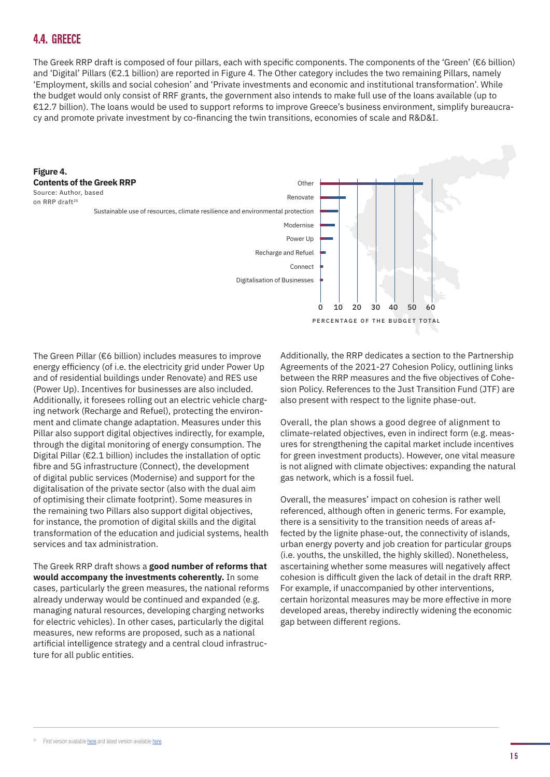# <span id="page-14-0"></span>**4.4. GREECE**

The Greek RRP draft is composed of four pillars, each with specific components. The components of the 'Green' (€6 billion) and 'Digital' Pillars (€2.1 billion) are reported in Figure 4. The Other category includes the two remaining Pillars, namely 'Employment, skills and social cohesion' and 'Private investments and economic and institutional transformation'. While the budget would only consist of RRF grants, the government also intends to make full use of the loans available (up to €12.7 billion). The loans would be used to support reforms to improve Greece's business environment, simplify bureaucracy and promote private investment by co-financing the twin transitions, economies of scale and R&D&I.



The Green Pillar (€6 billion) includes measures to improve energy efficiency (of i.e. the electricity grid under Power Up and of residential buildings under Renovate) and RES use (Power Up). Incentives for businesses are also included. Additionally, it foresees rolling out an electric vehicle charging network (Recharge and Refuel), protecting the environment and climate change adaptation. Measures under this Pillar also support digital objectives indirectly, for example, through the digital monitoring of energy consumption. The Digital Pillar (€2.1 billion) includes the installation of optic fibre and 5G infrastructure (Connect), the development of digital public services (Modernise) and support for the digitalisation of the private sector (also with the dual aim of optimising their climate footprint). Some measures in the remaining two Pillars also support digital objectives, for instance, the promotion of digital skills and the digital transformation of the education and judicial systems, health services and tax administration.

The Greek RRP draft shows a **good number of reforms that would accompany the investments coherently.** In some cases, particularly the green measures, the national reforms already underway would be continued and expanded (e.g. managing natural resources, developing charging networks for electric vehicles). In other cases, particularly the digital measures, new reforms are proposed, such as a national artificial intelligence strategy and a central cloud infrastructure for all public entities.

Additionally, the RRP dedicates a section to the Partnership Agreements of the 2021-27 Cohesion Policy, outlining links between the RRP measures and the five objectives of Cohesion Policy. References to the Just Transition Fund (JTF) are also present with respect to the lignite phase-out.

Overall, the plan shows a good degree of alignment to climate-related objectives, even in indirect form (e.g. measures for strengthening the capital market include incentives for green investment products). However, one vital measure is not aligned with climate objectives: expanding the natural gas network, which is a fossil fuel.

Overall, the measures' impact on cohesion is rather well referenced, although often in generic terms. For example, there is a sensitivity to the transition needs of areas affected by the lignite phase-out, the connectivity of islands, urban energy poverty and job creation for particular groups (i.e. youths, the unskilled, the highly skilled). Nonetheless, ascertaining whether some measures will negatively affect cohesion is difficult given the lack of detail in the draft RRP. For example, if unaccompanied by other interventions, certain horizontal measures may be more effective in more developed areas, thereby indirectly widening the economic gap between different regions.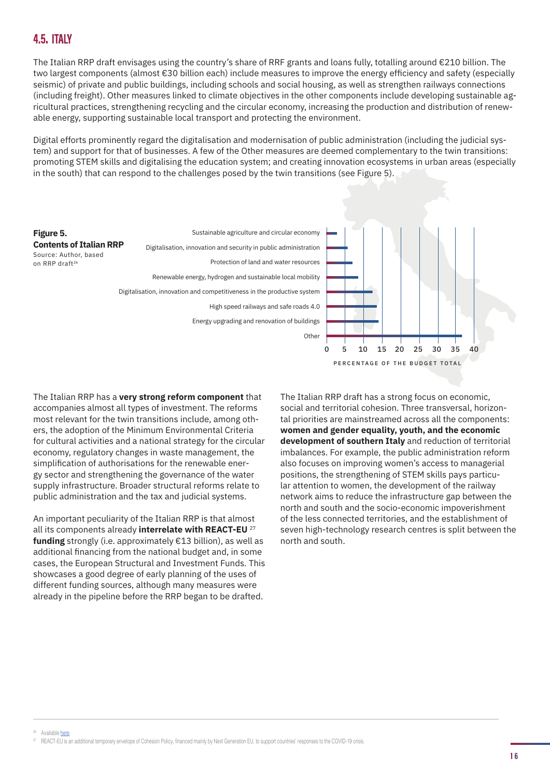<span id="page-15-0"></span>The Italian RRP draft envisages using the country's share of RRF grants and loans fully, totalling around €210 billion. The two largest components (almost €30 billion each) include measures to improve the energy efficiency and safety (especially seismic) of private and public buildings, including schools and social housing, as well as strengthen railways connections (including freight). Other measures linked to climate objectives in the other components include developing sustainable agricultural practices, strengthening recycling and the circular economy, increasing the production and distribution of renewable energy, supporting sustainable local transport and protecting the environment.

Digital efforts prominently regard the digitalisation and modernisation of public administration (including the judicial system) and support for that of businesses. A few of the Other measures are deemed complementary to the twin transitions: promoting STEM skills and digitalising the education system; and creating innovation ecosystems in urban areas (especially in the south) that can respond to the challenges posed by the twin transitions (see Figure 5).



The Italian RRP has a **very strong reform component** that accompanies almost all types of investment. The reforms most relevant for the twin transitions include, among others, the adoption of the Minimum Environmental Criteria for cultural activities and a national strategy for the circular economy, regulatory changes in waste management, the simplification of authorisations for the renewable energy sector and strengthening the governance of the water supply infrastructure. Broader structural reforms relate to public administration and the tax and judicial systems.

An important peculiarity of the Italian RRP is that almost all its components already **interrelate with REACT-EU** <sup>27</sup> **funding** strongly (i.e. approximately €13 billion), as well as additional financing from the national budget and, in some cases, the European Structural and Investment Funds. This showcases a good degree of early planning of the uses of different funding sources, although many measures were already in the pipeline before the RRP began to be drafted.

The Italian RRP draft has a strong focus on economic, social and territorial cohesion. Three transversal, horizontal priorities are mainstreamed across all the components: **women and gender equality, youth, and the economic development of southern Italy** and reduction of territorial imbalances. For example, the public administration reform also focuses on improving women's access to managerial positions, the strengthening of STEM skills pays particular attention to women, the development of the railway network aims to reduce the infrastructure gap between the north and south and the socio-economic impoverishment of the less connected territories, and the establishment of seven high-technology research centres is split between the north and south.

 $^{26}$  Available [here](https://www.fasi.biz/images/PNRRSchede.pdf).<br> $^{27}$  REACT-EU is an additional temporary envelope of Cohesion Policy, financed mainly by Next Generation EU, to support countries' responses to the COVID-19 crisis.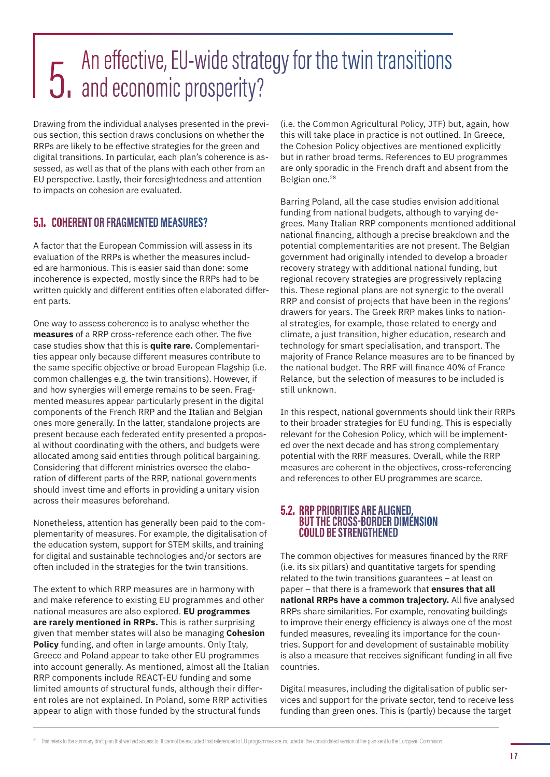# <span id="page-16-0"></span>An effective, EU-wide strategy for the twin transitions<br>
5. and economic prosperity?

Drawing from the individual analyses presented in the previous section, this section draws conclusions on whether the RRPs are likely to be effective strategies for the green and digital transitions. In particular, each plan's coherence is assessed, as well as that of the plans with each other from an EU perspective. Lastly, their foresightedness and attention to impacts on cohesion are evaluated.

# **5.1. COHERENT OR FRAGMENTED MEASURES?**

A factor that the European Commission will assess in its evaluation of the RRPs is whether the measures included are harmonious. This is easier said than done: some incoherence is expected, mostly since the RRPs had to be written quickly and different entities often elaborated different parts.

One way to assess coherence is to analyse whether the **measures** of a RRP cross-reference each other. The five case studies show that this is **quite rare.** Complementarities appear only because different measures contribute to the same specific objective or broad European Flagship (i.e. common challenges e.g. the twin transitions). However, if and how synergies will emerge remains to be seen. Fragmented measures appear particularly present in the digital components of the French RRP and the Italian and Belgian ones more generally. In the latter, standalone projects are present because each federated entity presented a proposal without coordinating with the others, and budgets were allocated among said entities through political bargaining. Considering that different ministries oversee the elaboration of different parts of the RRP, national governments should invest time and efforts in providing a unitary vision across their measures beforehand.

Nonetheless, attention has generally been paid to the complementarity of measures. For example, the digitalisation of the education system, support for STEM skills, and training for digital and sustainable technologies and/or sectors are often included in the strategies for the twin transitions.

The extent to which RRP measures are in harmony with and make reference to existing EU programmes and other national measures are also explored. **EU programmes are rarely mentioned in RRPs.** This is rather surprising given that member states will also be managing **Cohesion Policy** funding, and often in large amounts. Only Italy, Greece and Poland appear to take other EU programmes into account generally. As mentioned, almost all the Italian RRP components include REACT-EU funding and some limited amounts of structural funds, although their different roles are not explained. In Poland, some RRP activities appear to align with those funded by the structural funds

(i.e. the Common Agricultural Policy, JTF) but, again, how this will take place in practice is not outlined. In Greece, the Cohesion Policy objectives are mentioned explicitly but in rather broad terms. References to EU programmes are only sporadic in the French draft and absent from the Belgian one.<sup>28</sup>

Barring Poland, all the case studies envision additional funding from national budgets, although to varying degrees. Many Italian RRP components mentioned additional national financing, although a precise breakdown and the potential complementarities are not present. The Belgian government had originally intended to develop a broader recovery strategy with additional national funding, but regional recovery strategies are progressively replacing this. These regional plans are not synergic to the overall RRP and consist of projects that have been in the regions' drawers for years. The Greek RRP makes links to national strategies, for example, those related to energy and climate, a just transition, higher education, research and technology for smart specialisation, and transport. The majority of France Relance measures are to be financed by the national budget. The RRF will finance 40% of France Relance, but the selection of measures to be included is still unknown.

In this respect, national governments should link their RRPs to their broader strategies for EU funding. This is especially relevant for the Cohesion Policy, which will be implemented over the next decade and has strong complementary potential with the RRF measures. Overall, while the RRP measures are coherent in the objectives, cross-referencing and references to other EU programmes are scarce.

### **5.2. RRP PRIORITIES ARE ALIGNED, BUT THE CROSS-BORDER DIMENSION COULD BE STRENGTHENED**

The common objectives for measures financed by the RRF (i.e. its six pillars) and quantitative targets for spending related to the twin transitions guarantees – at least on paper – that there is a framework that **ensures that all national RRPs have a common trajectory.** All five analysed RRPs share similarities. For example, renovating buildings to improve their energy efficiency is always one of the most funded measures, revealing its importance for the countries. Support for and development of sustainable mobility is also a measure that receives significant funding in all five countries.

Digital measures, including the digitalisation of public services and support for the private sector, tend to receive less funding than green ones. This is (partly) because the target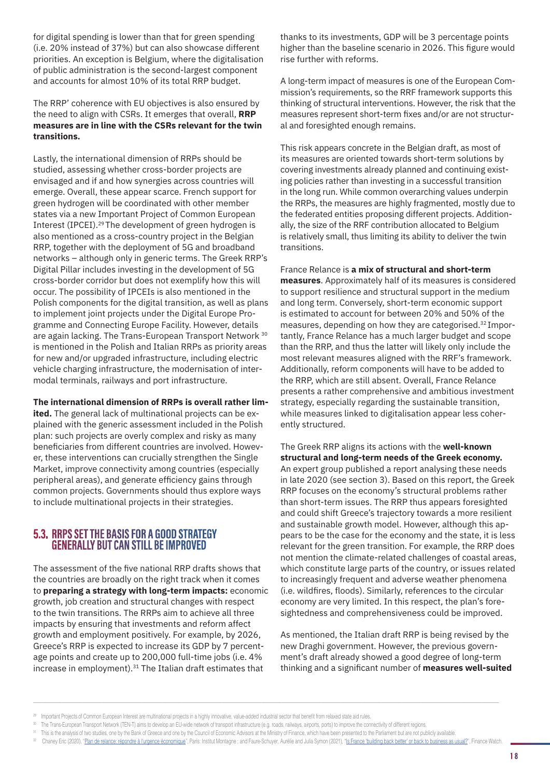<span id="page-17-0"></span>for digital spending is lower than that for green spending (i.e. 20% instead of 37%) but can also showcase different priorities. An exception is Belgium, where the digitalisation of public administration is the second-largest component and accounts for almost 10% of its total RRP budget.

The RRP' coherence with EU objectives is also ensured by the need to align with CSRs. It emerges that overall, **RRP measures are in line with the CSRs relevant for the twin transitions.**

Lastly, the international dimension of RRPs should be studied, assessing whether cross-border projects are envisaged and if and how synergies across countries will emerge. Overall, these appear scarce. French support for green hydrogen will be coordinated with other member states via a new Important Project of Common European Interest (IPCEI).29 The development of green hydrogen is also mentioned as a cross-country project in the Belgian RRP, together with the deployment of 5G and broadband networks – although only in generic terms. The Greek RRP's Digital Pillar includes investing in the development of 5G cross-border corridor but does not exemplify how this will occur. The possibility of IPCEIs is also mentioned in the Polish components for the digital transition, as well as plans to implement joint projects under the Digital Europe Programme and Connecting Europe Facility. However, details are again lacking. The Trans-European Transport Network 30 is mentioned in the Polish and Italian RRPs as priority areas for new and/or upgraded infrastructure, including electric vehicle charging infrastructure, the modernisation of intermodal terminals, railways and port infrastructure.

**The international dimension of RRPs is overall rather lim-**

**ited.** The general lack of multinational projects can be explained with the generic assessment included in the Polish plan: such projects are overly complex and risky as many beneficiaries from different countries are involved. However, these interventions can crucially strengthen the Single Market, improve connectivity among countries (especially peripheral areas), and generate efficiency gains through common projects. Governments should thus explore ways to include multinational projects in their strategies.

# **5.3. RRPS SET THE BASIS FOR A GOOD STRATEGY GENERALLY BUT CAN STILL BE IMPROVED**

The assessment of the five national RRP drafts shows that the countries are broadly on the right track when it comes to **preparing a strategy with long-term impacts:** economic growth, job creation and structural changes with respect to the twin transitions. The RRPs aim to achieve all three impacts by ensuring that investments and reform affect growth and employment positively. For example, by 2026, Greece's RRP is expected to increase its GDP by 7 percentage points and create up to 200,000 full-time jobs (i.e. 4% increase in employment).<sup>31</sup> The Italian draft estimates that

thanks to its investments, GDP will be 3 percentage points higher than the baseline scenario in 2026. This figure would rise further with reforms.

A long-term impact of measures is one of the European Commission's requirements, so the RRF framework supports this thinking of structural interventions. However, the risk that the measures represent short-term fixes and/or are not structural and foresighted enough remains.

This risk appears concrete in the Belgian draft, as most of its measures are oriented towards short-term solutions by covering investments already planned and continuing existing policies rather than investing in a successful transition in the long run. While common overarching values underpin the RRPs, the measures are highly fragmented, mostly due to the federated entities proposing different projects. Additionally, the size of the RRF contribution allocated to Belgium is relatively small, thus limiting its ability to deliver the twin transitions.

France Relance is **a mix of structural and short-term measures**. Approximately half of its measures is considered to support resilience and structural support in the medium and long term. Conversely, short-term economic support is estimated to account for between 20% and 50% of the measures, depending on how they are categorised.32 Importantly, France Relance has a much larger budget and scope than the RRP, and thus the latter will likely only include the most relevant measures aligned with the RRF's framework. Additionally, reform components will have to be added to the RRP, which are still absent. Overall, France Relance presents a rather comprehensive and ambitious investment strategy, especially regarding the sustainable transition, while measures linked to digitalisation appear less coherently structured.

The Greek RRP aligns its actions with the **well-known structural and long-term needs of the Greek economy.** An expert group published a report analysing these needs in late 2020 (see section 3). Based on this report, the Greek RRP focuses on the economy's structural problems rather than short-term issues. The RRP thus appears foresighted and could shift Greece's trajectory towards a more resilient and sustainable growth model. However, although this appears to be the case for the economy and the state, it is less relevant for the green transition. For example, the RRP does not mention the climate-related challenges of coastal areas, which constitute large parts of the country, or issues related to increasingly frequent and adverse weather phenomena (i.e. wildfires, floods). Similarly, references to the circular economy are very limited. In this respect, the plan's foresightedness and comprehensiveness could be improved.

As mentioned, the Italian draft RRP is being revised by the new Draghi government. However, the previous government's draft already showed a good degree of long-term thinking and a significant number of **measures well-suited** 

<sup>&</sup>lt;sup>29</sup> Important Projects of Common European Interest are multinational projects in a highly innovative, value-added industrial sector that benefit from relaxed state aid rules.

<sup>30</sup> The Trans-European Transport Network (TEN-T) aims to develop an EU-wide network of transport infrastructure (e.g. roads, railways, airports, ports) to improve the connectivity of different regions.

<sup>&</sup>lt;sup>31</sup> This is the analysis of two studies, one by the Bank of Greece and one by the Council of Economic Advisors at the Ministry of Finance, which have been presented to the Parliament but are not publicly available.

Chaney Eric (2020), "[Plan de relance: répondre à l'urgence économique](https://www.institutmontaigne.org/publications/plan-de-relance-repondre-lurgence-economique)", Paris: Institut Montagne ; and Faure-Schuyer, Aurélie and Julia Symon (2021), "[Is France 'building back better' or back to business as usual?](https://www.rethinktherecovery.org/sites/default/files/2021-02/French%20Recovery%20Plan%20Analysis.pdf)", Financ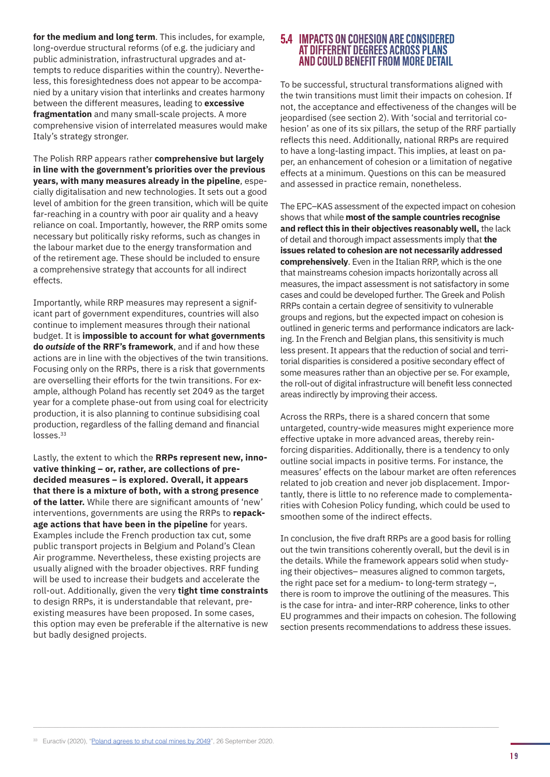<span id="page-18-0"></span>**for the medium and long term**. This includes, for example, long-overdue structural reforms (of e.g. the judiciary and public administration, infrastructural upgrades and attempts to reduce disparities within the country). Nevertheless, this foresightedness does not appear to be accompanied by a unitary vision that interlinks and creates harmony between the different measures, leading to **excessive fragmentation** and many small-scale projects. A more comprehensive vision of interrelated measures would make Italy's strategy stronger.

The Polish RRP appears rather **comprehensive but largely in line with the government's priorities over the previous years, with many measures already in the pipeline**, especially digitalisation and new technologies. It sets out a good level of ambition for the green transition, which will be quite far-reaching in a country with poor air quality and a heavy reliance on coal. Importantly, however, the RRP omits some necessary but politically risky reforms, such as changes in the labour market due to the energy transformation and of the retirement age. These should be included to ensure a comprehensive strategy that accounts for all indirect effects.

Importantly, while RRP measures may represent a significant part of government expenditures, countries will also continue to implement measures through their national budget. It is **impossible to account for what governments do** *outside* **of the RRF's framework**, and if and how these actions are in line with the objectives of the twin transitions. Focusing only on the RRPs, there is a risk that governments are overselling their efforts for the twin transitions. For example, although Poland has recently set 2049 as the target year for a complete phase-out from using coal for electricity production, it is also planning to continue subsidising coal production, regardless of the falling demand and financial losses.<sup>33</sup>

Lastly, the extent to which the **RRPs represent new, innovative thinking – or, rather, are collections of predecided measures – is explored. Overall, it appears that there is a mixture of both, with a strong presence of the latter.** While there are significant amounts of 'new' interventions, governments are using the RRPs to **repackage actions that have been in the pipeline** for years. Examples include the French production tax cut, some public transport projects in Belgium and Poland's Clean Air programme. Nevertheless, these existing projects are usually aligned with the broader objectives. RRF funding will be used to increase their budgets and accelerate the roll-out. Additionally, given the very **tight time constraints** to design RRPs, it is understandable that relevant, preexisting measures have been proposed. In some cases, this option may even be preferable if the alternative is new but badly designed projects.

### **5.4 IMPACTS ON COHESION ARE CONSIDERED AT DIFFERENT DEGREES ACROSS PLANS AND COULD BENEFIT FROM MORE DETAIL**

To be successful, structural transformations aligned with the twin transitions must limit their impacts on cohesion. If not, the acceptance and effectiveness of the changes will be jeopardised (see section 2). With 'social and territorial cohesion' as one of its six pillars, the setup of the RRF partially reflects this need. Additionally, national RRPs are required to have a long-lasting impact. This implies, at least on paper, an enhancement of cohesion or a limitation of negative effects at a minimum. Questions on this can be measured and assessed in practice remain, nonetheless.

The EPC–KAS assessment of the expected impact on cohesion shows that while **most of the sample countries recognise and reflect this in their objectives reasonably well,** the lack of detail and thorough impact assessments imply that **the issues related to cohesion are not necessarily addressed comprehensively**. Even in the Italian RRP, which is the one that mainstreams cohesion impacts horizontally across all measures, the impact assessment is not satisfactory in some cases and could be developed further. The Greek and Polish RRPs contain a certain degree of sensitivity to vulnerable groups and regions, but the expected impact on cohesion is outlined in generic terms and performance indicators are lacking. In the French and Belgian plans, this sensitivity is much less present. It appears that the reduction of social and territorial disparities is considered a positive secondary effect of some measures rather than an objective per se. For example, the roll-out of digital infrastructure will benefit less connected areas indirectly by improving their access.

Across the RRPs, there is a shared concern that some untargeted, country-wide measures might experience more effective uptake in more advanced areas, thereby reinforcing disparities. Additionally, there is a tendency to only outline social impacts in positive terms. For instance, the measures' effects on the labour market are often references related to job creation and never job displacement. Importantly, there is little to no reference made to complementarities with Cohesion Policy funding, which could be used to smoothen some of the indirect effects.

In conclusion, the five draft RRPs are a good basis for rolling out the twin transitions coherently overall, but the devil is in the details. While the framework appears solid when studying their objectives– measures aligned to common targets, the right pace set for a medium- to long-term strategy –, there is room to improve the outlining of the measures. This is the case for intra- and inter-RRP coherence, links to other EU programmes and their impacts on cohesion. The following section presents recommendations to address these issues.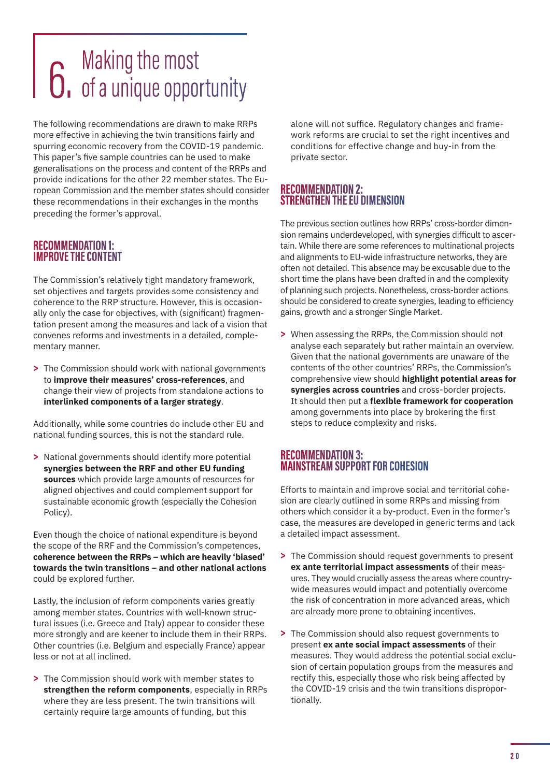# <span id="page-19-0"></span> $\overline{\mathbf{6}}$ . Making the most<br> $\overline{\mathbf{6}}$  of a unique opportunity

The following recommendations are drawn to make RRPs more effective in achieving the twin transitions fairly and spurring economic recovery from the COVID-19 pandemic. This paper's five sample countries can be used to make generalisations on the process and content of the RRPs and provide indications for the other 22 member states. The European Commission and the member states should consider these recommendations in their exchanges in the months preceding the former's approval.

# **RECOMMENDATION 1: IMPROVE THE CONTENT**

The Commission's relatively tight mandatory framework, set objectives and targets provides some consistency and coherence to the RRP structure. However, this is occasionally only the case for objectives, with (significant) fragmentation present among the measures and lack of a vision that convenes reforms and investments in a detailed, complementary manner.

**>** The Commission should work with national governments to **improve their measures' cross-references**, and change their view of projects from standalone actions to **interlinked components of a larger strategy**.

Additionally, while some countries do include other EU and national funding sources, this is not the standard rule.

**>** National governments should identify more potential **synergies between the RRF and other EU funding sources** which provide large amounts of resources for aligned objectives and could complement support for sustainable economic growth (especially the Cohesion Policy).

Even though the choice of national expenditure is beyond the scope of the RRF and the Commission's competences, **coherence between the RRPs – which are heavily 'biased' towards the twin transitions – and other national actions** could be explored further.

Lastly, the inclusion of reform components varies greatly among member states. Countries with well-known structural issues (i.e. Greece and Italy) appear to consider these more strongly and are keener to include them in their RRPs. Other countries (i.e. Belgium and especially France) appear less or not at all inclined.

**>** The Commission should work with member states to **strengthen the reform components**, especially in RRPs where they are less present. The twin transitions will certainly require large amounts of funding, but this

alone will not suffice. Regulatory changes and framework reforms are crucial to set the right incentives and conditions for effective change and buy-in from the private sector.

# **RECOMMENDATION 2: STRENGTHEN THE EU DIMENSION**

The previous section outlines how RRPs' cross-border dimension remains underdeveloped, with synergies difficult to ascertain. While there are some references to multinational projects and alignments to EU-wide infrastructure networks, they are often not detailed. This absence may be excusable due to the short time the plans have been drafted in and the complexity of planning such projects. Nonetheless, cross-border actions should be considered to create synergies, leading to efficiency gains, growth and a stronger Single Market.

**>** When assessing the RRPs, the Commission should not analyse each separately but rather maintain an overview. Given that the national governments are unaware of the contents of the other countries' RRPs, the Commission's comprehensive view should **highlight potential areas for synergies across countries** and cross-border projects. It should then put a **flexible framework for cooperation** among governments into place by brokering the first steps to reduce complexity and risks.

# **RECOMMENDATION 3: MAINSTREAM SUPPORT FOR COHESION**

Efforts to maintain and improve social and territorial cohesion are clearly outlined in some RRPs and missing from others which consider it a by-product. Even in the former's case, the measures are developed in generic terms and lack a detailed impact assessment.

- **>** The Commission should request governments to present **ex ante territorial impact assessments** of their measures. They would crucially assess the areas where countrywide measures would impact and potentially overcome the risk of concentration in more advanced areas, which are already more prone to obtaining incentives.
- **>** The Commission should also request governments to present **ex ante social impact assessments** of their measures. They would address the potential social exclusion of certain population groups from the measures and rectify this, especially those who risk being affected by the COVID-19 crisis and the twin transitions disproportionally.